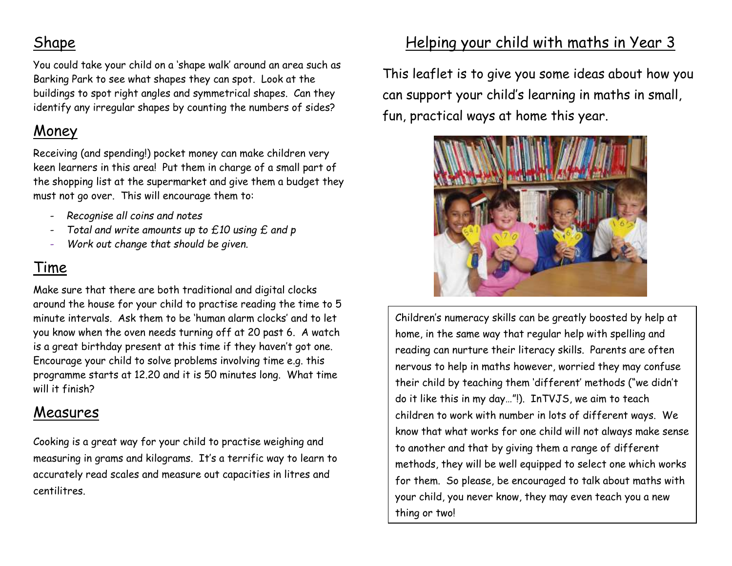## Shape

You could take your child on a 'shape walk' around an area such as Barking Park to see what shapes they can spot. Look at the buildings to spot right angles and symmetrical shapes. Can they identify any irregular shapes by counting the numbers of sides?

# Money

Receiving (and spending!) pocket money can make children very keen learners in this area! Put them in charge of a small part of the shopping list at the supermarket and give them a budget they must not go over. This will encourage them to:

- *Recognise all coins and notes*
- *Total and write amounts up to £10 using £ and p*
- *Work out change that should be given.*

# Time

Make sure that there are both traditional and digital clocks around the house for your child to practise reading the time to 5 minute intervals. Ask them to be 'human alarm clocks' and to let you know when the oven needs turning off at 20 past 6. A watch is a great birthday present at this time if they haven't got one. Encourage your child to solve problems involving time e.g. this programme starts at 12.20 and it is 50 minutes long. What time will it finish?

# Measures

Cooking is a great way for your child to practise weighing and measuring in grams and kilograms. It's a terrific way to learn to accurately read scales and measure out capacities in litres and centilitres.

# Helping your child with maths in Year 3

This leaflet is to give you some ideas about how you can support your child's learning in maths in small, fun, practical ways at home this year.



Children's numeracy skills can be greatly boosted by help at home, in the same way that regular help with spelling and reading can nurture their literacy skills. Parents are often nervous to help in maths however, worried they may confuse their child by teaching them 'different' methods ("we didn't do it like this in my day…"!). InTVJS, we aim to teach children to work with number in lots of different ways. We know that what works for one child will not always make sense to another and that by giving them a range of different methods, they will be well equipped to select one which works for them. So please, be encouraged to talk about maths with your child, you never know, they may even teach you a new thing or two!